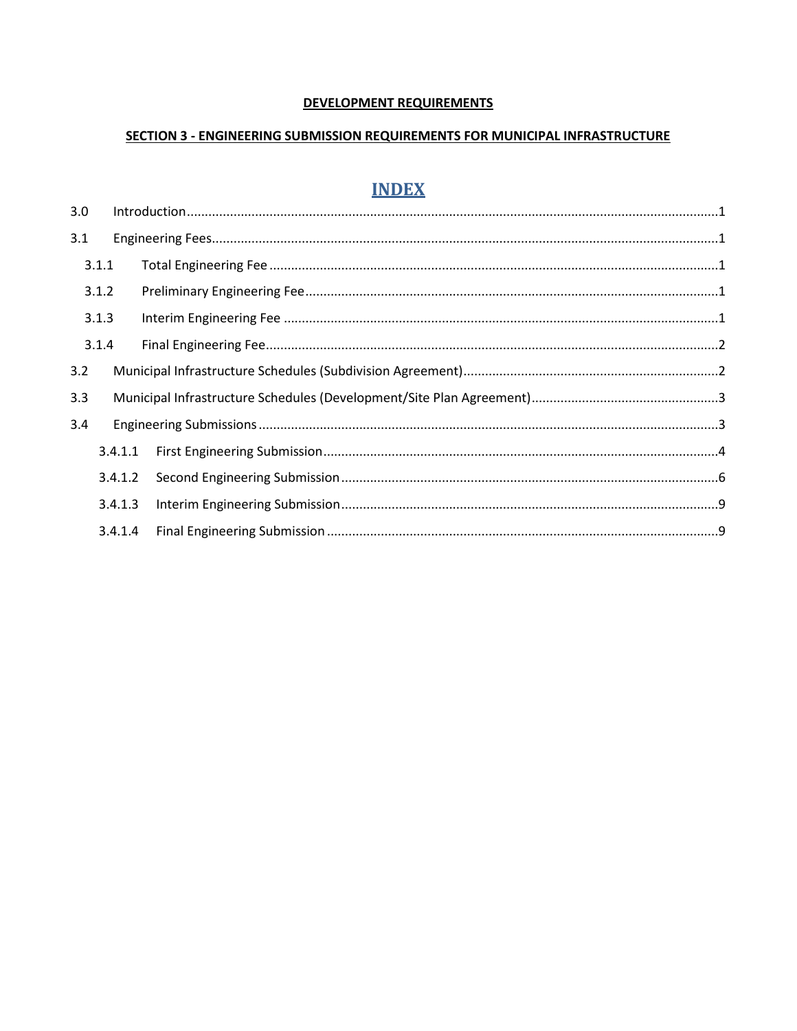#### **DEVELOPMENT REQUIREMENTS**

#### SECTION 3 - ENGINEERING SUBMISSION REQUIREMENTS FOR MUNICIPAL INFRASTRUCTURE

# **INDEX**

| 3.0   |         |  |
|-------|---------|--|
| 3.1   |         |  |
| 3.1.1 |         |  |
| 3.1.2 |         |  |
| 3.1.3 |         |  |
| 3.1.4 |         |  |
| 3.2   |         |  |
| 3.3   |         |  |
| 3.4   |         |  |
|       | 3.4.1.1 |  |
|       | 3.4.1.2 |  |
|       | 3.4.1.3 |  |
|       | 3.4.1.4 |  |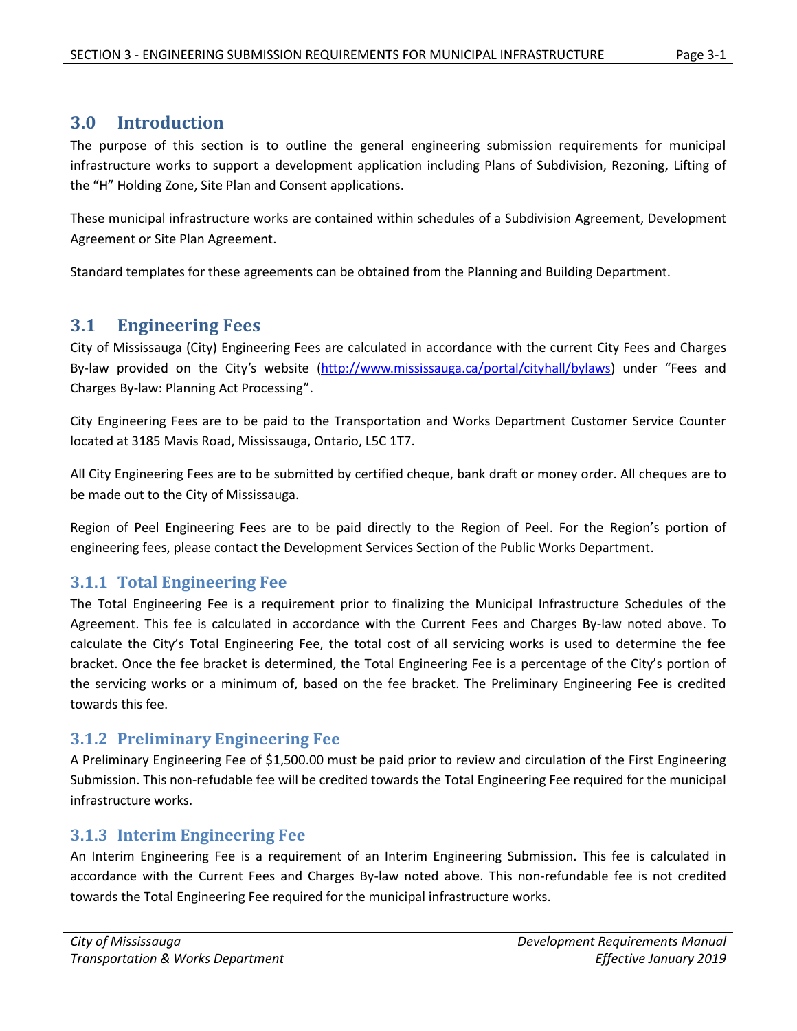# <span id="page-1-0"></span>**3.0 Introduction**

The purpose of this section is to outline the general engineering submission requirements for municipal infrastructure works to support a development application including Plans of Subdivision, Rezoning, Lifting of the "H" Holding Zone, Site Plan and Consent applications.

These municipal infrastructure works are contained within schedules of a Subdivision Agreement, Development Agreement or Site Plan Agreement.

Standard templates for these agreements can be obtained from the Planning and Building Department.

# <span id="page-1-1"></span>**3.1 Engineering Fees**

City of Mississauga (City) Engineering Fees are calculated in accordance with the current City Fees and Charges By-law provided on the City's website [\(http://www.mississauga.ca/portal/cityhall/bylaws\)](http://www.mississauga.ca/portal/cityhall/bylaws) under "Fees and Charges By-law: Planning Act Processing".

City Engineering Fees are to be paid to the Transportation and Works Department Customer Service Counter located at 3185 Mavis Road, Mississauga, Ontario, L5C 1T7.

All City Engineering Fees are to be submitted by certified cheque, bank draft or money order. All cheques are to be made out to the City of Mississauga.

Region of Peel Engineering Fees are to be paid directly to the Region of Peel. For the Region's portion of engineering fees, please contact the Development Services Section of the Public Works Department.

### <span id="page-1-2"></span>**3.1.1 Total Engineering Fee**

The Total Engineering Fee is a requirement prior to finalizing the Municipal Infrastructure Schedules of the Agreement. This fee is calculated in accordance with the Current Fees and Charges By-law noted above. To calculate the City's Total Engineering Fee, the total cost of all servicing works is used to determine the fee bracket. Once the fee bracket is determined, the Total Engineering Fee is a percentage of the City's portion of the servicing works or a minimum of, based on the fee bracket. The Preliminary Engineering Fee is credited towards this fee.

# <span id="page-1-3"></span>**3.1.2 Preliminary Engineering Fee**

A Preliminary Engineering Fee of \$1,500.00 must be paid prior to review and circulation of the First Engineering Submission. This non-refudable fee will be credited towards the Total Engineering Fee required for the municipal infrastructure works.

### <span id="page-1-4"></span>**3.1.3 Interim Engineering Fee**

An Interim Engineering Fee is a requirement of an Interim Engineering Submission. This fee is calculated in accordance with the Current Fees and Charges By-law noted above. This non-refundable fee is not credited towards the Total Engineering Fee required for the municipal infrastructure works.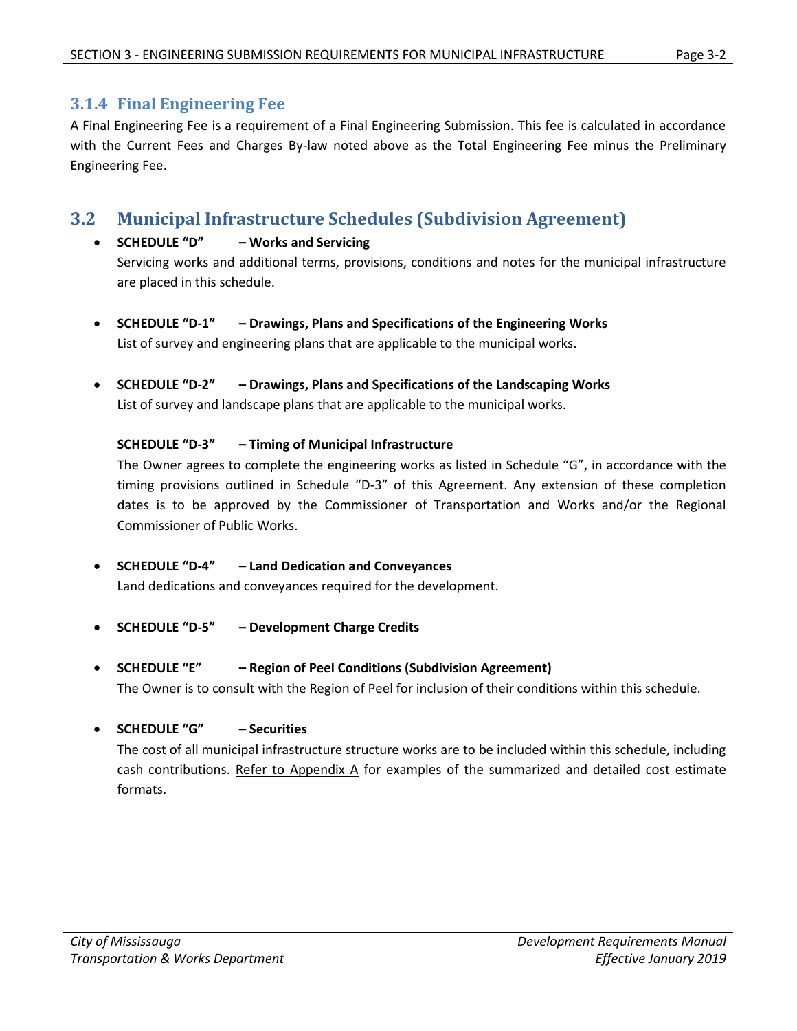# <span id="page-2-0"></span>**3.1.4 Final Engineering Fee**

A Final Engineering Fee is a requirement of a Final Engineering Submission. This fee is calculated in accordance with the Current Fees and Charges By-law noted above as the Total Engineering Fee minus the Preliminary Engineering Fee.

# <span id="page-2-1"></span>**3.2 Municipal Infrastructure Schedules (Subdivision Agreement)**

### **SCHEDULE "D" – Works and Servicing**

Servicing works and additional terms, provisions, conditions and notes for the municipal infrastructure are placed in this schedule.

- **SCHEDULE "D-1" – Drawings, Plans and Specifications of the Engineering Works** List of survey and engineering plans that are applicable to the municipal works.
- **SCHEDULE "D-2" – Drawings, Plans and Specifications of the Landscaping Works**

List of survey and landscape plans that are applicable to the municipal works.

### **SCHEDULE "D-3" – Timing of Municipal Infrastructure**

The Owner agrees to complete the engineering works as listed in Schedule "G", in accordance with the timing provisions outlined in Schedule "D-3" of this Agreement. Any extension of these completion dates is to be approved by the Commissioner of Transportation and Works and/or the Regional Commissioner of Public Works.

**SCHEDULE "D-4" – Land Dedication and Conveyances**

Land dedications and conveyances required for the development.

- **SCHEDULE "D-5" – Development Charge Credits**
- **SCHEDULE "E" – Region of Peel Conditions (Subdivision Agreement)** The Owner is to consult with the Region of Peel for inclusion of their conditions within this schedule.

### **SCHEDULE "G" – Securities**

The cost of all municipal infrastructure structure works are to be included within this schedule, including cash contributions. Refer to Appendix A for examples of the summarized and detailed cost estimate formats.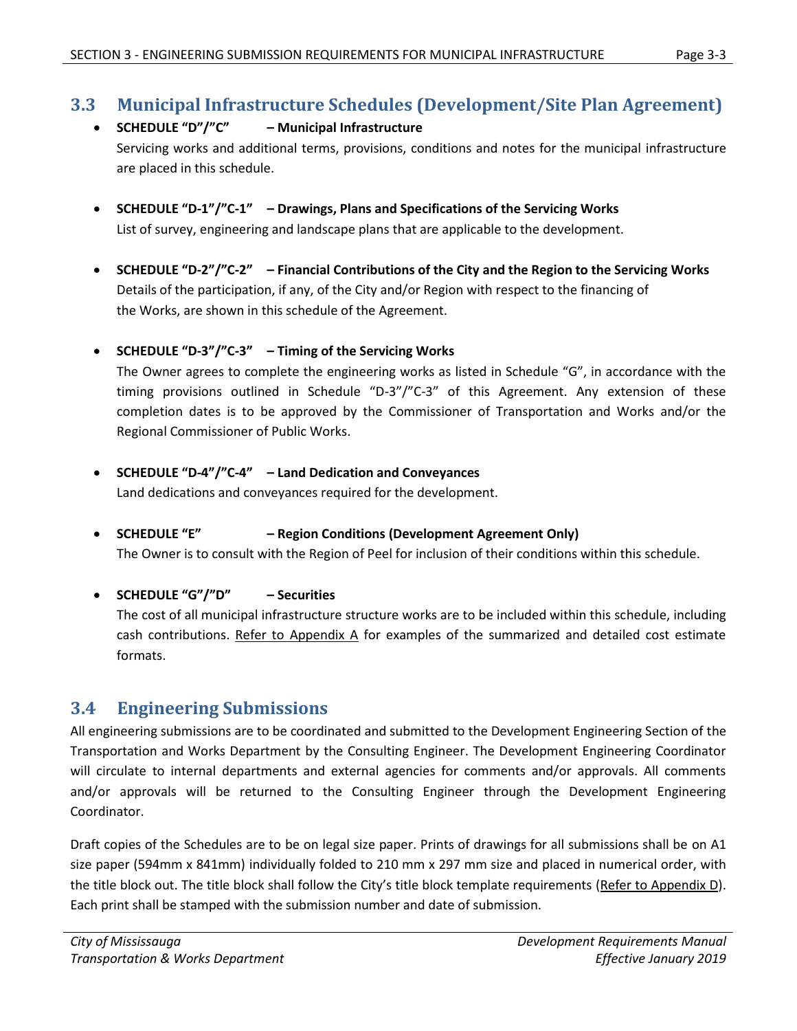# <span id="page-3-0"></span>**3.3 Municipal Infrastructure Schedules (Development/Site Plan Agreement)**

### **SCHEDULE "D"/"C" – Municipal Infrastructure** Servicing works and additional terms, provisions, conditions and notes for the municipal infrastructure are placed in this schedule.

- **SCHEDULE "D-1"/"C-1" – Drawings, Plans and Specifications of the Servicing Works** List of survey, engineering and landscape plans that are applicable to the development.
- **SCHEDULE "D-2"/"C-2" – Financial Contributions of the City and the Region to the Servicing Works** Details of the participation, if any, of the City and/or Region with respect to the financing of the Works, are shown in this schedule of the Agreement.

### **SCHEDULE "D-3"/"C-3" – Timing of the Servicing Works**

The Owner agrees to complete the engineering works as listed in Schedule "G", in accordance with the timing provisions outlined in Schedule "D-3"/"C-3" of this Agreement. Any extension of these completion dates is to be approved by the Commissioner of Transportation and Works and/or the Regional Commissioner of Public Works.

**SCHEDULE "D-4"/"C-4" – Land Dedication and Conveyances**

Land dedications and conveyances required for the development.

**SCHEDULE "E" – Region Conditions (Development Agreement Only)**

The Owner is to consult with the Region of Peel for inclusion of their conditions within this schedule.

**SCHEDULE "G"/"D" – Securities**

The cost of all municipal infrastructure structure works are to be included within this schedule, including cash contributions. Refer to Appendix A for examples of the summarized and detailed cost estimate formats.

# <span id="page-3-1"></span>**3.4 Engineering Submissions**

All engineering submissions are to be coordinated and submitted to the Development Engineering Section of the Transportation and Works Department by the Consulting Engineer. The Development Engineering Coordinator will circulate to internal departments and external agencies for comments and/or approvals. All comments and/or approvals will be returned to the Consulting Engineer through the Development Engineering Coordinator.

Draft copies of the Schedules are to be on legal size paper. Prints of drawings for all submissions shall be on A1 size paper (594mm x 841mm) individually folded to 210 mm x 297 mm size and placed in numerical order, with the title block out. The title block shall follow the City's title block template requirements (Refer to Appendix D). Each print shall be stamped with the submission number and date of submission.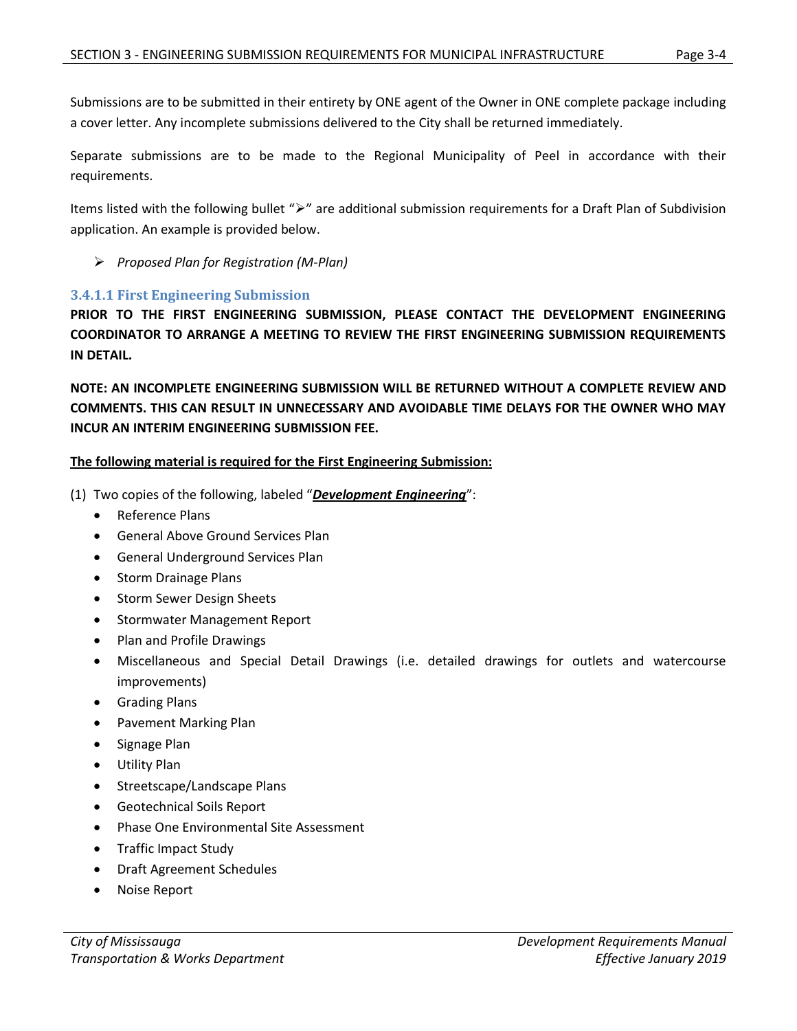Submissions are to be submitted in their entirety by ONE agent of the Owner in ONE complete package including a cover letter. Any incomplete submissions delivered to the City shall be returned immediately.

Separate submissions are to be made to the Regional Municipality of Peel in accordance with their requirements.

Items listed with the following bullet " $\triangleright$ " are additional submission requirements for a Draft Plan of Subdivision application. An example is provided below.

*Proposed Plan for Registration (M-Plan)*

#### <span id="page-4-0"></span>**3.4.1.1 First Engineering Submission**

**PRIOR TO THE FIRST ENGINEERING SUBMISSION, PLEASE CONTACT THE DEVELOPMENT ENGINEERING COORDINATOR TO ARRANGE A MEETING TO REVIEW THE FIRST ENGINEERING SUBMISSION REQUIREMENTS IN DETAIL.**

**NOTE: AN INCOMPLETE ENGINEERING SUBMISSION WILL BE RETURNED WITHOUT A COMPLETE REVIEW AND COMMENTS. THIS CAN RESULT IN UNNECESSARY AND AVOIDABLE TIME DELAYS FOR THE OWNER WHO MAY INCUR AN INTERIM ENGINEERING SUBMISSION FEE.**

#### **The following material is required for the First Engineering Submission:**

- (1) Two copies of the following, labeled "*Development Engineering*":
	- Reference Plans
	- General Above Ground Services Plan
	- General Underground Services Plan
	- Storm Drainage Plans
	- Storm Sewer Design Sheets
	- Stormwater Management Report
	- Plan and Profile Drawings
	- Miscellaneous and Special Detail Drawings (i.e. detailed drawings for outlets and watercourse improvements)
	- Grading Plans
	- Pavement Marking Plan
	- Signage Plan
	- Utility Plan
	- Streetscape/Landscape Plans
	- Geotechnical Soils Report
	- Phase One Environmental Site Assessment
	- Traffic Impact Study
	- Draft Agreement Schedules
	- Noise Report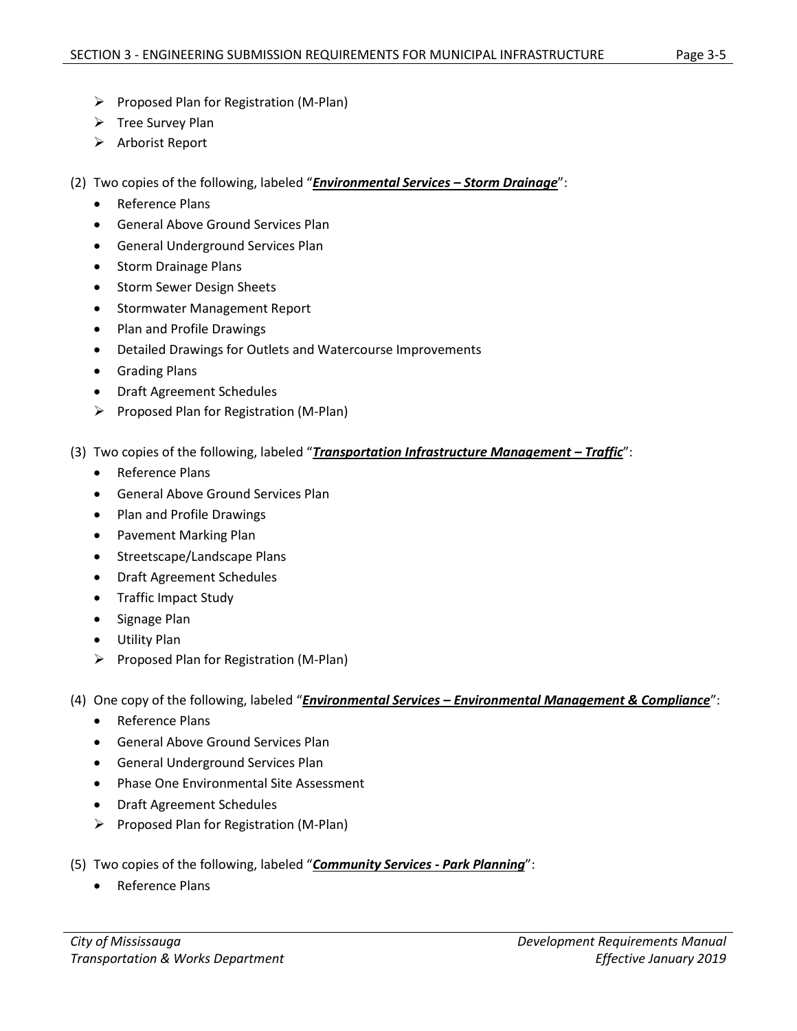- $\triangleright$  Proposed Plan for Registration (M-Plan)
- $\triangleright$  Tree Survey Plan
- $\triangleright$  Arborist Report
- (2) Two copies of the following, labeled "*Environmental Services – Storm Drainage*":
	- Reference Plans
	- General Above Ground Services Plan
	- General Underground Services Plan
	- Storm Drainage Plans
	- Storm Sewer Design Sheets
	- Stormwater Management Report
	- Plan and Profile Drawings
	- Detailed Drawings for Outlets and Watercourse Improvements
	- **•** Grading Plans
	- Draft Agreement Schedules
	- $\triangleright$  Proposed Plan for Registration (M-Plan)
- (3) Two copies of the following, labeled "*Transportation Infrastructure Management – Traffic*":
	- Reference Plans
	- General Above Ground Services Plan
	- Plan and Profile Drawings
	- Pavement Marking Plan
	- Streetscape/Landscape Plans
	- Draft Agreement Schedules
	- Traffic Impact Study
	- Signage Plan
	- Utility Plan
	- $\triangleright$  Proposed Plan for Registration (M-Plan)
- (4) One copy of the following, labeled "*Environmental Services – Environmental Management & Compliance*":
	- Reference Plans
	- General Above Ground Services Plan
	- General Underground Services Plan
	- Phase One Environmental Site Assessment
	- Draft Agreement Schedules
	- $\triangleright$  Proposed Plan for Registration (M-Plan)
- (5) Two copies of the following, labeled "*Community Services - Park Planning*":
	- Reference Plans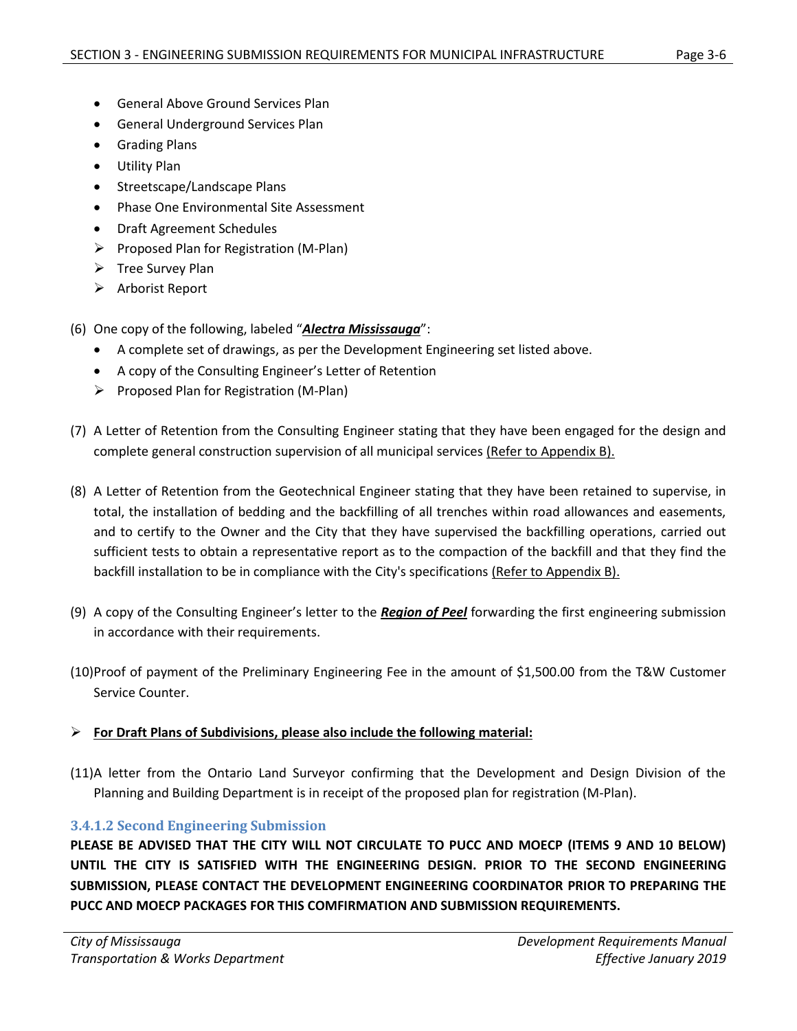- General Above Ground Services Plan
- General Underground Services Plan
- **•** Grading Plans
- Utility Plan
- Streetscape/Landscape Plans
- Phase One Environmental Site Assessment
- Draft Agreement Schedules
- $\triangleright$  Proposed Plan for Registration (M-Plan)
- $\triangleright$  Tree Survey Plan
- $\triangleright$  Arborist Report
- (6) One copy of the following, labeled "*Alectra Mississauga*":
	- A complete set of drawings, as per the Development Engineering set listed above.
	- A copy of the Consulting Engineer's Letter of Retention
	- $\triangleright$  Proposed Plan for Registration (M-Plan)
- (7) A Letter of Retention from the Consulting Engineer stating that they have been engaged for the design and complete general construction supervision of all municipal services (Refer to Appendix B).
- (8) A Letter of Retention from the Geotechnical Engineer stating that they have been retained to supervise, in total, the installation of bedding and the backfilling of all trenches within road allowances and easements, and to certify to the Owner and the City that they have supervised the backfilling operations, carried out sufficient tests to obtain a representative report as to the compaction of the backfill and that they find the backfill installation to be in compliance with the City's specifications (Refer to Appendix B).
- (9) A copy of the Consulting Engineer's letter to the *Region of Peel* forwarding the first engineering submission in accordance with their requirements.
- (10)Proof of payment of the Preliminary Engineering Fee in the amount of \$1,500.00 from the T&W Customer Service Counter.

### **For Draft Plans of Subdivisions, please also include the following material:**

(11)A letter from the Ontario Land Surveyor confirming that the Development and Design Division of the Planning and Building Department is in receipt of the proposed plan for registration (M-Plan).

### <span id="page-6-0"></span>**3.4.1.2 Second Engineering Submission**

**PLEASE BE ADVISED THAT THE CITY WILL NOT CIRCULATE TO PUCC AND MOECP (ITEMS 9 AND 10 BELOW) UNTIL THE CITY IS SATISFIED WITH THE ENGINEERING DESIGN. PRIOR TO THE SECOND ENGINEERING SUBMISSION, PLEASE CONTACT THE DEVELOPMENT ENGINEERING COORDINATOR PRIOR TO PREPARING THE PUCC AND MOECP PACKAGES FOR THIS COMFIRMATION AND SUBMISSION REQUIREMENTS.**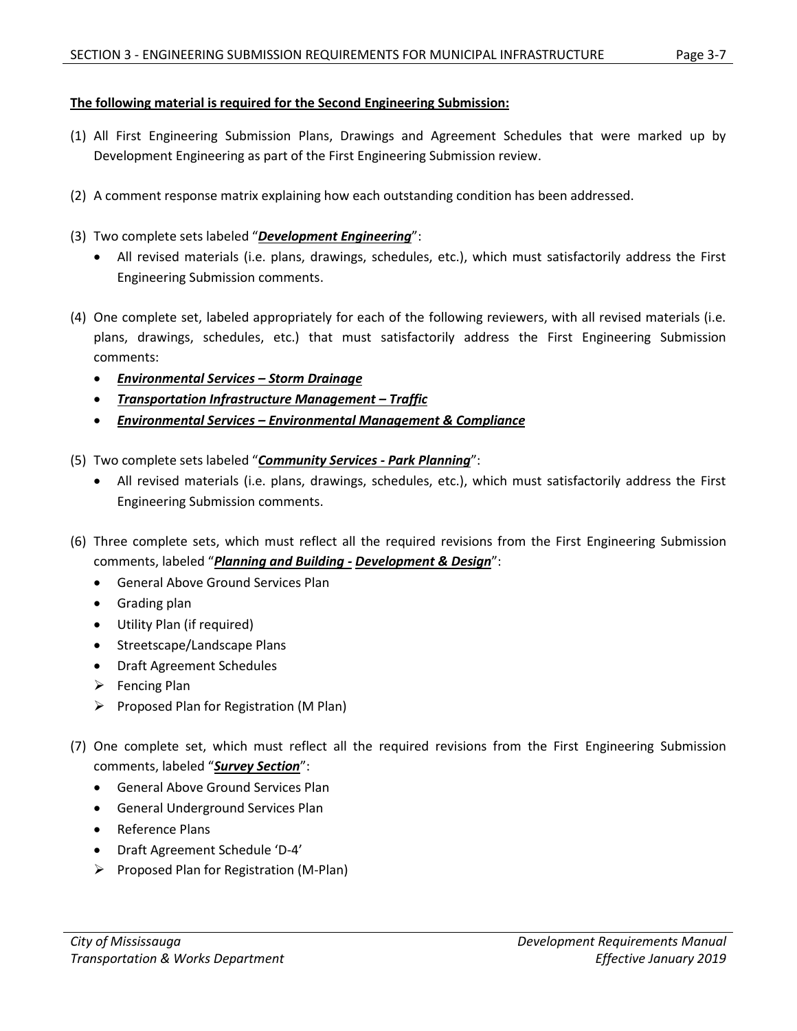### **The following material is required for the Second Engineering Submission:**

- (1) All First Engineering Submission Plans, Drawings and Agreement Schedules that were marked up by Development Engineering as part of the First Engineering Submission review.
- (2) A comment response matrix explaining how each outstanding condition has been addressed.
- (3) Two complete sets labeled "*Development Engineering*":
	- All revised materials (i.e. plans, drawings, schedules, etc.), which must satisfactorily address the First Engineering Submission comments.
- (4) One complete set, labeled appropriately for each of the following reviewers, with all revised materials (i.e. plans, drawings, schedules, etc.) that must satisfactorily address the First Engineering Submission comments:
	- *Environmental Services – Storm Drainage*
	- *Transportation Infrastructure Management – Traffic*
	- *Environmental Services – Environmental Management & Compliance*
- (5) Two complete sets labeled "*Community Services - Park Planning*":
	- All revised materials (i.e. plans, drawings, schedules, etc.), which must satisfactorily address the First Engineering Submission comments.
- (6) Three complete sets, which must reflect all the required revisions from the First Engineering Submission comments, labeled "*Planning and Building - Development & Design*":
	- General Above Ground Services Plan
	- Grading plan
	- Utility Plan (if required)
	- Streetscape/Landscape Plans
	- Draft Agreement Schedules
	- $\triangleright$  Fencing Plan
	- $\triangleright$  Proposed Plan for Registration (M Plan)
- (7) One complete set, which must reflect all the required revisions from the First Engineering Submission comments, labeled "*Survey Section*":
	- General Above Ground Services Plan
	- General Underground Services Plan
	- Reference Plans
	- Draft Agreement Schedule 'D-4'
	- $\triangleright$  Proposed Plan for Registration (M-Plan)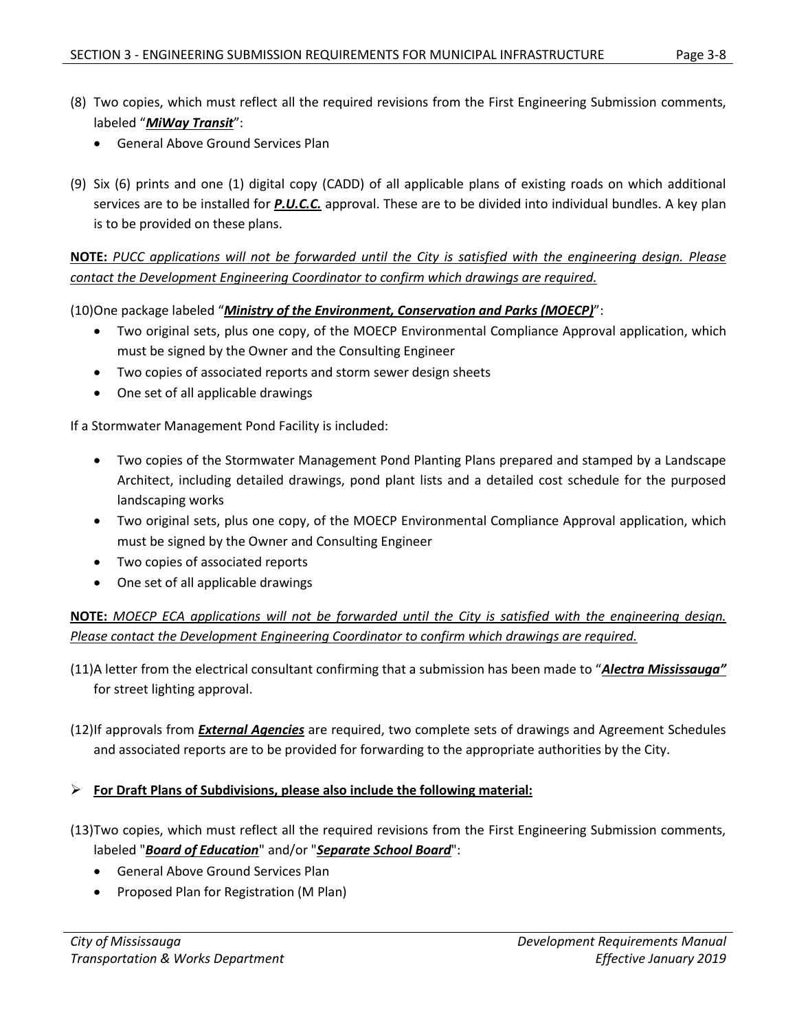- (8) Two copies, which must reflect all the required revisions from the First Engineering Submission comments, labeled "*MiWay Transit*":
	- General Above Ground Services Plan
- (9) Six (6) prints and one (1) digital copy (CADD) of all applicable plans of existing roads on which additional services are to be installed for *P.U.C.C.* approval. These are to be divided into individual bundles. A key plan is to be provided on these plans.

**NOTE:** *PUCC applications will not be forwarded until the City is satisfied with the engineering design. Please contact the Development Engineering Coordinator to confirm which drawings are required.*

(10)One package labeled "*Ministry of the Environment, Conservation and Parks (MOECP)*":

- Two original sets, plus one copy, of the MOECP Environmental Compliance Approval application, which must be signed by the Owner and the Consulting Engineer
- Two copies of associated reports and storm sewer design sheets
- One set of all applicable drawings

If a Stormwater Management Pond Facility is included:

- Two copies of the Stormwater Management Pond Planting Plans prepared and stamped by a Landscape Architect, including detailed drawings, pond plant lists and a detailed cost schedule for the purposed landscaping works
- Two original sets, plus one copy, of the MOECP Environmental Compliance Approval application, which must be signed by the Owner and Consulting Engineer
- Two copies of associated reports
- One set of all applicable drawings

**NOTE:** *MOECP ECA applications will not be forwarded until the City is satisfied with the engineering design. Please contact the Development Engineering Coordinator to confirm which drawings are required.*

- (11)A letter from the electrical consultant confirming that a submission has been made to "*Alectra Mississauga"* for street lighting approval.
- (12)If approvals from *External Agencies* are required, two complete sets of drawings and Agreement Schedules and associated reports are to be provided for forwarding to the appropriate authorities by the City.

#### **For Draft Plans of Subdivisions, please also include the following material:**

- (13)Two copies, which must reflect all the required revisions from the First Engineering Submission comments, labeled "*Board of Education*" and/or "*Separate School Board*":
	- General Above Ground Services Plan
	- Proposed Plan for Registration (M Plan)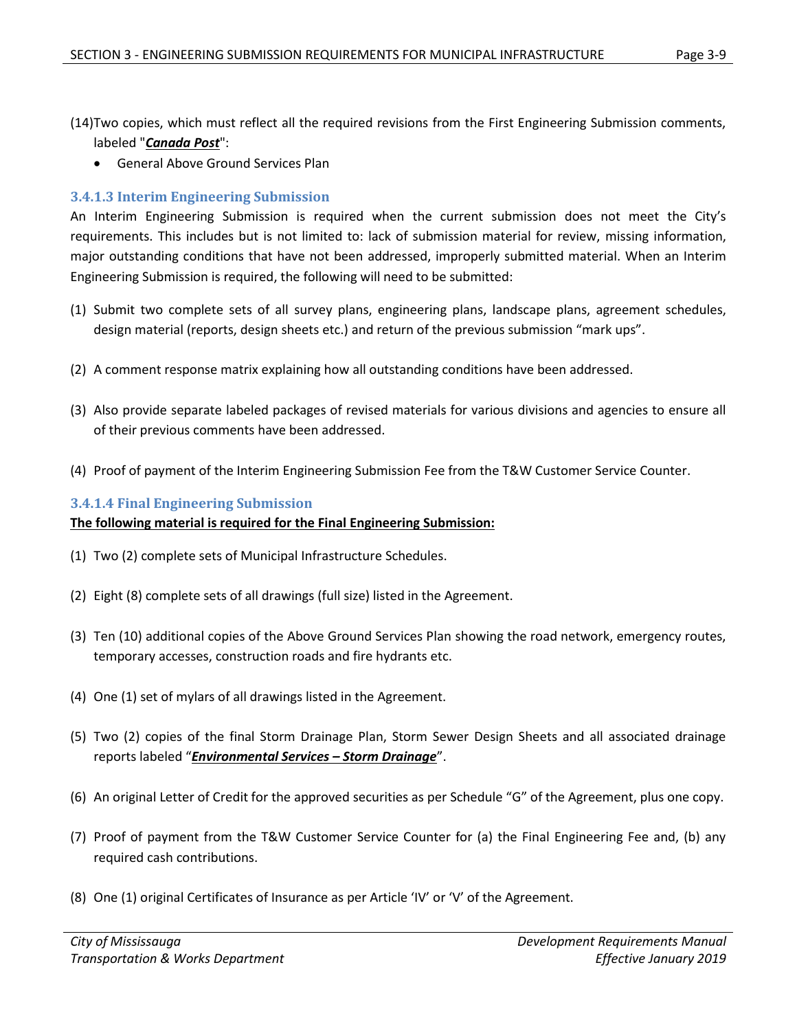- (14)Two copies, which must reflect all the required revisions from the First Engineering Submission comments, labeled "*Canada Post*":
	- General Above Ground Services Plan

#### <span id="page-9-0"></span>**3.4.1.3 Interim Engineering Submission**

An Interim Engineering Submission is required when the current submission does not meet the City's requirements. This includes but is not limited to: lack of submission material for review, missing information, major outstanding conditions that have not been addressed, improperly submitted material. When an Interim Engineering Submission is required, the following will need to be submitted:

- (1) Submit two complete sets of all survey plans, engineering plans, landscape plans, agreement schedules, design material (reports, design sheets etc.) and return of the previous submission "mark ups".
- (2) A comment response matrix explaining how all outstanding conditions have been addressed.
- (3) Also provide separate labeled packages of revised materials for various divisions and agencies to ensure all of their previous comments have been addressed.
- (4) Proof of payment of the Interim Engineering Submission Fee from the T&W Customer Service Counter.

#### <span id="page-9-1"></span>**3.4.1.4 Final Engineering Submission**

#### **The following material is required for the Final Engineering Submission:**

- (1) Two (2) complete sets of Municipal Infrastructure Schedules.
- (2) Eight (8) complete sets of all drawings (full size) listed in the Agreement.
- (3) Ten (10) additional copies of the Above Ground Services Plan showing the road network, emergency routes, temporary accesses, construction roads and fire hydrants etc.
- (4) One (1) set of mylars of all drawings listed in the Agreement.
- (5) Two (2) copies of the final Storm Drainage Plan, Storm Sewer Design Sheets and all associated drainage reports labeled "*Environmental Services – Storm Drainage*".
- (6) An original Letter of Credit for the approved securities as per Schedule "G" of the Agreement, plus one copy.
- (7) Proof of payment from the T&W Customer Service Counter for (a) the Final Engineering Fee and, (b) any required cash contributions.
- (8) One (1) original Certificates of Insurance as per Article 'IV' or 'V' of the Agreement.